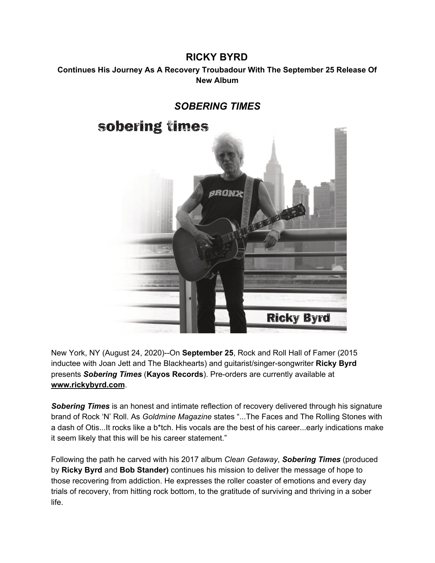## **RICKY BYRD**

## **Continues His Journey As A Recovery Troubadour With The September 25 Release Of New Album**



New York, NY (August 24, 2020)--On **September 25**, Rock and Roll Hall of Famer (2015 inductee with Joan Jett and The Blackhearts) and guitarist/singer-songwriter **Ricky Byrd** presents *Sobering Times* (**Kayos Records**). Pre-orders are currently available at **www.rickybyrd.com**.

*Sobering Times* is an honest and intimate reflection of recovery delivered through his signature brand of Rock 'N' Roll. As *Goldmine Magazine* states "...The Faces and The Rolling Stones with a dash of Otis...It rocks like a b\*tch. His vocals are the best of his career...early indications make it seem likely that this will be his career statement."

Following the path he carved with his 2017 album *Clean Getaway*, *Sobering Times* (produced by **Ricky Byrd** and **Bob Stander)** continues his mission to deliver the message of hope to those recovering from addiction. He expresses the roller coaster of emotions and every day trials of recovery, from hitting rock bottom, to the gratitude of surviving and thriving in a sober life.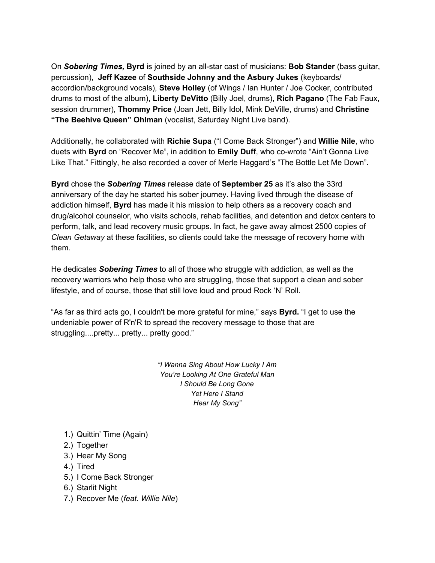On *Sobering Times,* **Byrd** is joined by an all-star cast of musicians: **Bob Stander** (bass guitar, percussion), **Jeff Kazee** of **Southside Johnny and the Asbury Jukes** (keyboards/ accordion/background vocals), **Steve Holley** (of Wings / Ian Hunter / Joe Cocker, contributed drums to most of the album), **Liberty DeVitto** (Billy Joel, drums), **Rich Pagano** (The Fab Faux, session drummer), **Thommy Price** (Joan Jett, Billy Idol, Mink DeVille, drums) and **Christine "The Beehive Queen" Ohlman** (vocalist, Saturday Night Live band).

Additionally, he collaborated with **Richie Supa** ("I Come Back Stronger") and **Willie Nile**, who duets with **Byrd** on "Recover Me", in addition to **Emily Duff**, who co-wrote "Ain't Gonna Live Like That." Fittingly, he also recorded a cover of Merle Haggard's "The Bottle Let Me Down"**.**

**Byrd** chose the *Sobering Times* release date of **September 25** as it's also the 33rd anniversary of the day he started his sober journey. Having lived through the disease of addiction himself, **Byrd** has made it his mission to help others as a recovery coach and drug/alcohol counselor, who visits schools, rehab facilities, and detention and detox centers to perform, talk, and lead recovery music groups. In fact, he gave away almost 2500 copies of *Clean Getaway* at these facilities, so clients could take the message of recovery home with them.

He dedicates *Sobering Times* to all of those who struggle with addiction, as well as the recovery warriors who help those who are struggling, those that support a clean and sober lifestyle, and of course, those that still love loud and proud Rock 'N' Roll.

"As far as third acts go, I couldn't be more grateful for mine," says **Byrd.** "I get to use the undeniable power of R'n'R to spread the recovery message to those that are struggling....pretty... pretty... pretty good."

> *"I Wanna Sing About How Lucky I Am You're Looking At One Grateful Man I Should Be Long Gone Yet Here I Stand Hear My Song"*

- 1.) Quittin' Time (Again)
- 2.) Together
- 3.) Hear My Song
- 4.) Tired
- 5.) I Come Back Stronger
- 6.) Starlit Night
- 7.) Recover Me (*feat. Willie Nile*)